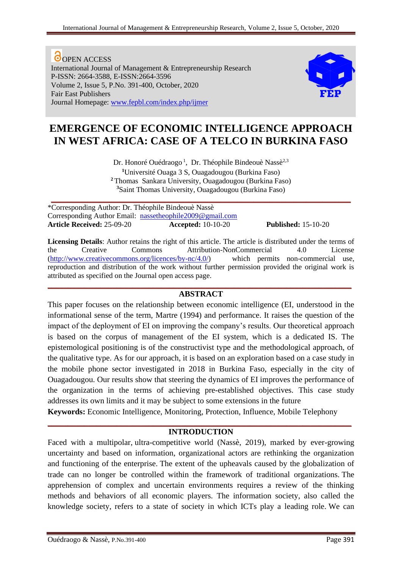O OPEN ACCESS International Journal of Management & Entrepreneurship Research P-ISSN: 2664-3588, E-ISSN:2664-3596 Volume 2, Issue 5, P.No. 391-400, October, 2020 Fair East Publishers Journal Homepage: [www.fepbl.com/index.php/ijmer](http://www.fepbl.com/index.php/ijmer)



# **EMERGENCE OF ECONOMIC INTELLIGENCE APPROACH IN WEST AFRICA: CASE OF A TELCO IN BURKINA FASO**

Dr. Honoré Ouédraogo<sup>1</sup>, Dr. Théophile Bindeouè Nassè<sup>2,3</sup>

**<sup>1</sup>**Université Ouaga 3 S, Ouagadougou (Burkina Faso) **<sup>2</sup>**Thomas Sankara University, Ouagadougou (Burkina Faso) **<sup>3</sup>**Saint Thomas University, Ouagadougou (Burkina Faso)

**\_\_\_\_\_\_\_\_\_\_\_\_\_\_\_\_\_\_\_\_\_\_\_\_\_\_\_\_\_\_\_\_\_\_\_\_\_\_\_\_\_\_\_\_\_\_\_\_\_\_\_\_\_\_\_\_\_\_\_\_\_\_\_\_\_\_\_\_\_\_\_\_\_\_**

\*Corresponding Author: Dr. Théophile Bindeouè Nassè Corresponding Author Email: nassetheophile2009@gmail.com **Article Received:** 25-09-20 **Accepted:** 10-10-20 **Published:** 15-10-20

**Licensing Details**: Author retains the right of this article. The article is distributed under the terms of the Creative Commons Attribution-NonCommercial 4.0 License [\(http://www.creativecommons.org/licences/by-nc/4.0/\)](http://www.creativecommons.org/licences/by-nc/4.0/) which permits non-commercial use, reproduction and distribution of the work without further permission provided the original work is attributed as specified on the Journal open access page.

## **\_\_\_\_\_\_\_\_\_\_\_\_\_\_\_\_\_\_\_\_\_\_\_\_\_\_\_\_\_\_\_\_\_\_\_\_\_\_\_\_\_\_\_\_\_\_\_\_\_\_\_\_\_\_\_\_\_\_\_\_\_\_\_\_\_\_\_\_\_\_\_\_\_\_\_ ABSTRACT**

This paper focuses on the relationship between economic intelligence (EI, understood in the informational sense of the term, Martre (1994) and performance. It raises the question of the impact of the deployment of EI on improving the company's results. Our theoretical approach is based on the corpus of management of the EI system, which is a dedicated IS. The epistemological positioning is of the constructivist type and the methodological approach, of the qualitative type. As for our approach, it is based on an exploration based on a case study in the mobile phone sector investigated in 2018 in Burkina Faso, especially in the city of Ouagadougou. Our results show that steering the dynamics of EI improves the performance of the organization in the terms of achieving pre-established objectives. This case study addresses its own limits and it may be subject to some extensions in the future

**Keywords:** Economic Intelligence, Monitoring, Protection, Influence, Mobile Telephony

## **\_\_\_\_\_\_\_\_\_\_\_\_\_\_\_\_\_\_\_\_\_\_\_\_\_\_\_\_\_\_\_\_\_\_\_\_\_\_\_\_\_\_\_\_\_\_\_\_\_\_\_\_\_\_\_\_\_\_\_\_\_\_\_\_\_\_\_\_\_\_\_\_\_\_\_ INTRODUCTION**

Faced with a multipolar, ultra-competitive world (Nassè, 2019), marked by ever-growing uncertainty and based on information, organizational actors are rethinking the organization and functioning of the enterprise. The extent of the upheavals caused by the globalization of trade can no longer be controlled within the framework of traditional organizations. The apprehension of complex and uncertain environments requires a review of the thinking methods and behaviors of all economic players. The information society, also called the knowledge society, refers to a state of society in which ICTs play a leading role. We can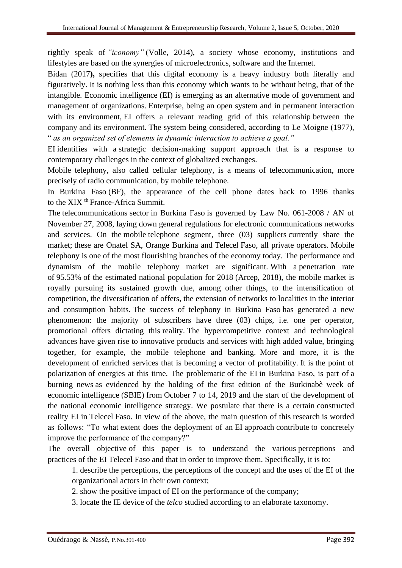rightly speak of *"iconomy"* (Volle, 2014), a society whose economy, institutions and lifestyles are based on the synergies of microelectronics, software and the Internet.

Bidan (2017**),** specifies that this digital economy is a heavy industry both literally and figuratively. It is nothing less than this economy which wants to be without being, that of the intangible. Economic intelligence (EI) is emerging as an alternative mode of government and management of organizations. Enterprise, being an open system and in permanent interaction with its environment, EI offers a relevant reading grid of this relationship between the company and its environment. The system being considered, according to Le Moigne (1977), " *as an organized set of elements in dynamic interaction to achieve a goal."*

EI identifies with a strategic decision-making support approach that is a response to contemporary challenges in the context of globalized exchanges.

Mobile telephony, also called cellular telephony, is a means of telecommunication, more precisely of radio communication, by mobile telephone.

In Burkina Faso (BF), the appearance of the cell phone dates back to 1996 thanks to the XIX<sup>th</sup> France-Africa Summit.

The telecommunications sector in Burkina Faso is governed by Law No. 061-2008 / AN of November 27, 2008, laying down general regulations for electronic communications networks and services. On the mobile telephone segment, three (03) suppliers currently share the market; these are Onatel SA, Orange Burkina and Telecel Faso, all private operators. Mobile telephony is one of the most flourishing branches of the economy today. The performance and dynamism of the mobile telephony market are significant. With a penetration rate of 95.53% of the estimated national population for 2018 (Arcep, 2018), the mobile market is royally pursuing its sustained growth due, among other things, to the intensification of competition, the diversification of offers, the extension of networks to localities in the interior and consumption habits. The success of telephony in Burkina Faso has generated a new phenomenon: the majority of subscribers have three (03) chips, i.e. one per operator, promotional offers dictating this reality. The hypercompetitive context and technological advances have given rise to innovative products and services with high added value, bringing together, for example, the mobile telephone and banking. More and more, it is the development of enriched services that is becoming a vector of profitability. It is the point of polarization of energies at this time. The problematic of the EI in Burkina Faso, is part of a burning news as evidenced by the holding of the first edition of the Burkinabè week of economic intelligence (SBIE) from October 7 to 14, 2019 and the start of the development of the national economic intelligence strategy. We postulate that there is a certain constructed reality EI in Telecel Faso. In view of the above, the main question of this research is worded as follows: "To what extent does the deployment of an EI approach contribute to concretely improve the performance of the company?"

The overall objective of this paper is to understand the various perceptions and practices of the EI Telecel Faso and that in order to improve them. Specifically, it is to:

1. describe the perceptions, the perceptions of the concept and the uses of the EI of the organizational actors in their own context;

2. show the positive impact of EI on the performance of the company;

3. locate the IE device of the *telco* studied according to an elaborate taxonomy.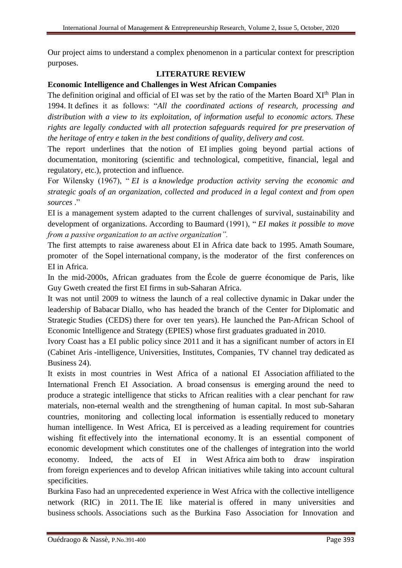Our project aims to understand a complex phenomenon in a particular context for prescription purposes.

## **LITERATURE REVIEW**

## **Economic Intelligence and Challenges in West African Companies**

The definition original and official of EI was set by the ratio of the Marten Board XIth Plan in 1994. It defines it as follows: "*All the coordinated actions of research, processing and distribution with a view to its exploitation, of information useful to economic actors. These rights are legally conducted with all protection safeguards required for pre preservation of the heritage of entry e taken in the best conditions of quality, delivery and cost.*

The report underlines that the notion of EI implies going beyond partial actions of documentation, monitoring (scientific and technological, competitive, financial, legal and regulatory, etc.), protection and influence.

For Wilensky (1967), " *EI is a knowledge production activity serving the economic and strategic goals of an organization, collected and produced in a legal context and from open sources* ."

EI is a management system adapted to the current challenges of survival, sustainability and development of organizations. According to Baumard (1991), " *EI makes it possible to move from a passive organization to an active organization".*

The first attempts to raise awareness about EI in Africa date back to 1995. Amath Soumare, promoter of the Sopel international company, is the moderator of the first conferences on EI in Africa.

In the mid-2000s, African graduates from the École de guerre économique de Paris, like Guy Gweth created the first EI firms in sub-Saharan Africa.

It was not until 2009 to witness the launch of a real collective dynamic in Dakar under the leadership of Babacar Diallo, who has headed the branch of the Center for Diplomatic and Strategic Studies (CEDS) there for over ten years). He launched the Pan-African School of Economic Intelligence and Strategy (EPIES) whose first graduates graduated in 2010.

Ivory Coast has a EI public policy since 2011 and it has a significant number of actors in EI (Cabinet Aris -intelligence, Universities, Institutes, Companies, TV channel tray dedicated as Business 24).

It exists in most countries in West Africa of a national EI Association affiliated to the International French EI Association. A broad consensus is emerging around the need to produce a strategic intelligence that sticks to African realities with a clear penchant for raw materials, non-eternal wealth and the strengthening of human capital. In most sub-Saharan countries, monitoring and collecting local information is essentially reduced to monetary human intelligence. In West Africa, EI is perceived as a leading requirement for countries wishing fit effectively into the international economy. It is an essential component of economic development which constitutes one of the challenges of integration into the world economy. Indeed, the acts of EI in West Africa aim both to draw inspiration from foreign experiences and to develop African initiatives while taking into account cultural specificities.

Burkina Faso had an unprecedented experience in West Africa with the collective intelligence network (RIC) in 2011. The IE like material is offered in many universities and business schools. Associations such as the Burkina Faso Association for Innovation and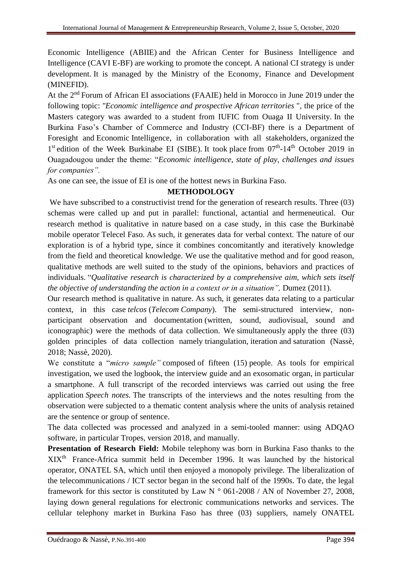Economic Intelligence (ABIIE) and the African Center for Business Intelligence and Intelligence (CAVI E-BF) are working to promote the concept. A national CI strategy is under development. It is managed by the Ministry of the Economy, Finance and Development (MINEFID).

At the 2nd Forum of African EI associations (FAAIE) held in Morocco in June 2019 under the following topic: *"Economic intelligence and prospective African territories* ", the price of the Masters category was awarded to a student from IUFIC from Ouaga II University. In the Burkina Faso's Chamber of Commerce and Industry (CCI-BF) there is a Department of Foresight and Economic Intelligence, in collaboration with all stakeholders, organized the 1<sup>st</sup> edition of the Week Burkinabe EI (SIBE). It took place from 07<sup>th</sup>-14<sup>th</sup> October 2019 in Ouagadougou under the theme: "*Economic intelligence, state of play, challenges and issues for companies".*

As one can see, the issue of EI is one of the hottest news in Burkina Faso.

## **METHODOLOGY**

We have subscribed to a constructivist trend for the generation of research results. Three (03) schemas were called up and put in parallel: functional, actantial and hermeneutical. Our research method is qualitative in nature based on a case study, in this case the Burkinabè mobile operator Telecel Faso. As such, it generates data for verbal context. The nature of our exploration is of a hybrid type, since it combines concomitantly and iteratively knowledge from the field and theoretical knowledge. We use the qualitative method and for good reason, qualitative methods are well suited to the study of the opinions, behaviors and practices of individuals. "*Qualitative research is characterized by a comprehensive aim, which sets itself the objective of understanding the action in a context or in a situation",* Dumez (2011).

Our research method is qualitative in nature. As such, it generates data relating to a particular context, in this case *telcos* (*Telecom Company*). The semi-structured interview, nonparticipant observation and documentation (written, sound, audiovisual, sound and iconographic) were the methods of data collection. We simultaneously apply the three (03) golden principles of data collection namely triangulation, iteration and saturation (Nassè, 2018; Nassè, 2020).

We constitute a "*micro sample"* composed of fifteen (15) people. As tools for empirical investigation, we used the logbook, the interview guide and an exosomatic organ, in particular a smartphone. A full transcript of the recorded interviews was carried out using the free application *Speech notes.* The transcripts of the interviews and the notes resulting from the observation were subjected to a thematic content analysis where the units of analysis retained are the sentence or group of sentence.

The data collected was processed and analyzed in a semi-tooled manner: using ADQAO software, in particular Tropes, version 2018, and manually.

**Presentation of Research Field:** Mobile telephony was born in Burkina Faso thanks to the XIXth France-Africa summit held in December 1996. It was launched by the historical operator, ONATEL SA, which until then enjoyed a monopoly privilege. The liberalization of the telecommunications / ICT sector began in the second half of the 1990s. To date, the legal framework for this sector is constituted by Law N ° 061-2008 / AN of November 27, 2008, laying down general regulations for electronic communications networks and services. The cellular telephony market in Burkina Faso has three (03) suppliers, namely ONATEL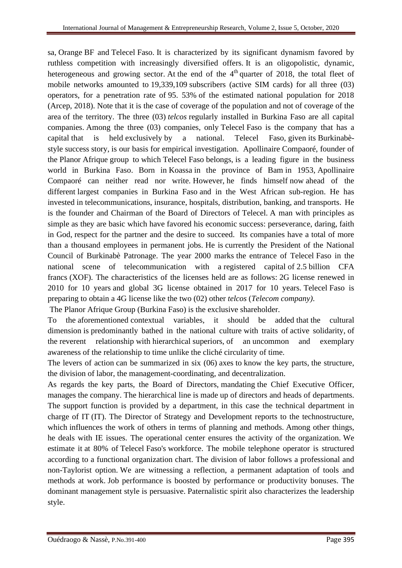sa, Orange BF and Telecel Faso. It is characterized by its significant dynamism favored by ruthless competition with increasingly diversified offers. It is an oligopolistic, dynamic, heterogeneous and growing sector. At the end of the  $4<sup>th</sup>$  quarter of 2018, the total fleet of mobile networks amounted to 19,339,109 subscribers (active SIM cards) for all three (03) operators, for a penetration rate of 95. 53% of the estimated national population for 2018 (Arcep, 2018). Note that it is the case of coverage of the population and not of coverage of the area of the territory. The three (03) *telcos* regularly installed in Burkina Faso are all capital companies. Among the three (03) companies, only Telecel Faso is the company that has a capital that is held exclusively by a national. Telecel Faso, given its Burkinabèstyle success story, is our basis for empirical investigation. Apollinaire Compaoré, founder of the Planor Afrique group to which Telecel Faso belongs, is a leading figure in the business world in Burkina Faso. Born in Koassa in the province of Bam in 1953, Apollinaire Compaoré can neither read nor write. However, he finds himself now ahead of the different largest companies in Burkina Faso and in the West African sub-region. He has invested in telecommunications, insurance, hospitals, distribution, banking, and transports. He is the founder and Chairman of the Board of Directors of Telecel. A man with principles as simple as they are basic which have favored his economic success: perseverance, daring, faith in God, respect for the partner and the desire to succeed. Its companies have a total of more than a thousand employees in permanent jobs. He is currently the President of the National Council of Burkinabè Patronage. The year 2000 marks the entrance of Telecel Faso in the national scene of telecommunication with a registered capital of 2.5 billion CFA francs (XOF). The characteristics of the licenses held are as follows: 2G license renewed in 2010 for 10 years and global 3G license obtained in 2017 for 10 years. Telecel Faso is preparing to obtain a 4G license like the two (02) other *telcos* (*Telecom company)*.

The Planor Afrique Group (Burkina Faso) is the exclusive shareholder.

To the aforementioned contextual variables, it should be added that the cultural dimension is predominantly bathed in the national culture with traits of active solidarity, of the reverent relationship with hierarchical superiors, of an uncommon and exemplary awareness of the relationship to time unlike the cliché circularity of time.

The levers of action can be summarized in six (06) axes to know the key parts, the structure, the division of labor, the management-coordinating, and decentralization.

As regards the key parts, the Board of Directors, mandating the Chief Executive Officer, manages the company. The hierarchical line is made up of directors and heads of departments. The support function is provided by a department, in this case the technical department in charge of IT (IT). The Director of Strategy and Development reports to the technostructure, which influences the work of others in terms of planning and methods. Among other things, he deals with IE issues. The operational center ensures the activity of the organization. We estimate it at 80% of Telecel Faso's workforce. The mobile telephone operator is structured according to a functional organization chart. The division of labor follows a professional and non-Taylorist option. We are witnessing a reflection, a permanent adaptation of tools and methods at work. Job performance is boosted by performance or productivity bonuses. The dominant management style is persuasive. Paternalistic spirit also characterizes the leadership style.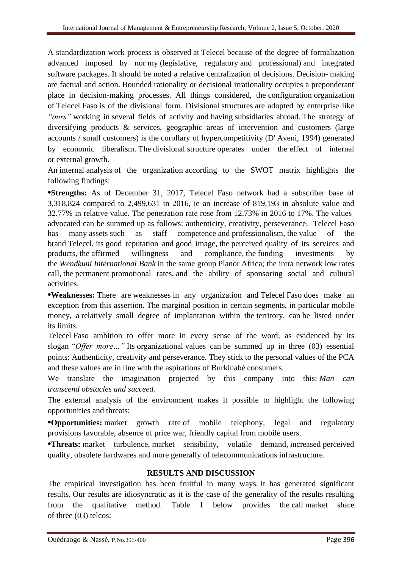A standardization work process is observed at Telecel because of the degree of formalization advanced imposed by nor my (legislative, regulatory and professional) and integrated software packages. It should be noted a relative centralization of decisions. Decision- making are factual and action. Bounded rationality or decisional irrationality occupies a preponderant place in decision-making processes. All things considered, the configuration organization of Telecel Faso is of the divisional form. Divisional structures are adopted by enterprise like *"ours"* working in several fields of activity and having subsidiaries abroad. The strategy of diversifying products & services, geographic areas of intervention and customers (large accounts / small customers) is the corollary of hypercompetitivity (D' Aveni, 1994) generated by economic liberalism. The divisional structure operates under the effect of internal or external growth.

An internal analysis of the organization according to the SWOT matrix highlights the following findings:

**•Strengths:** As of December 31, 2017, Telecel Faso network had a subscriber base of 3,318,824 compared to 2,499,631 in 2016, ie an increase of 819,193 in absolute value and 32.77% in relative value. The penetration rate rose from 12.73% in 2016 to 17%. The values advocated can be summed up as follows: authenticity, creativity, perseverance. Telecel Faso has many assets such as staff competence and professionalism, the value of the brand Telecel, its good reputation and good image, the perceived quality of its services and products, the affirmed willingness and compliance, the funding investments by the *Wendkuni International Bank* in the same group Planor Africa; the intra network low rates call, the permanent promotional rates, and the ability of sponsoring social and cultural activities.

**•Weaknesses:** There are weaknesses in any organization and Telecel Faso does make an exception from this assertion. The marginal position in certain segments, in particular mobile money, a relatively small degree of implantation within the territory, can be listed under its limits.

Telecel Faso ambition to offer more in every sense of the word, as evidenced by its slogan *"Offer more…"* Its organizational values can be summed up in three (03) essential points: Authenticity, creativity and perseverance. They stick to the personal values of the PCA and these values are in line with the aspirations of Burkinabè consumers.

We translate the imagination projected by this company into this: *Man can transcend obstacles and succeed.*

The external analysis of the environment makes it possible to highlight the following opportunities and threats:

**•Opportunities:** market growth rate of mobile telephony, legal and regulatory provisions favorable, absence of price war, friendly capital from mobile users.

**•Threats:** market turbulence, market sensibility, volatile demand, increased perceived quality, obsolete hardwares and more generally of telecommunications infrastructure.

## **RESULTS AND DISCUSSION**

The empirical investigation has been fruitful in many ways. It has generated significant results. Our results are idiosyncratic as it is the case of the generality of the results resulting from the qualitative method. Table 1 below provides the call market share of three (03) telcos: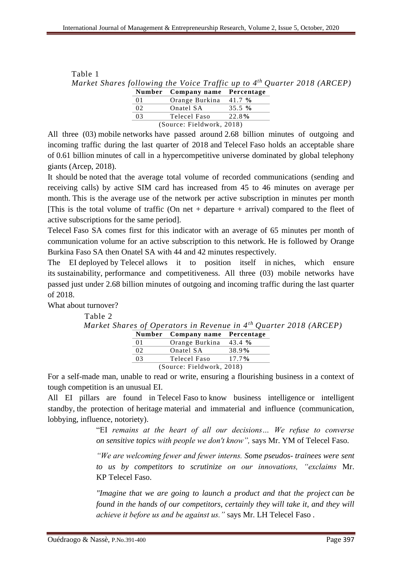| Market Shares following the Voice Traffic up to 4 <sup>th</sup> Quarter 2018 (ARCEP) |  |                                |  |  |  |  |
|--------------------------------------------------------------------------------------|--|--------------------------------|--|--|--|--|
|                                                                                      |  | Number Company name Percentage |  |  |  |  |
|                                                                                      |  | Orange Burkina 41.7 %          |  |  |  |  |
|                                                                                      |  |                                |  |  |  |  |

|      | Orange Burkina $41.7\%$   |          |
|------|---------------------------|----------|
| -02  | <b>Onatel SA</b>          | 35.5 $%$ |
| - 03 | Telecel Faso              | 22.8%    |
|      | (Source: Fieldwork, 2018) |          |

All three (03) mobile networks have passed around 2.68 billion minutes of outgoing and incoming traffic during the last quarter of 2018 and Telecel Faso holds an acceptable share of 0.61 billion minutes of call in a hypercompetitive universe dominated by global telephony giants (Arcep, 2018).

It should be noted that the average total volume of recorded communications (sending and receiving calls) by active SIM card has increased from 45 to 46 minutes on average per month. This is the average use of the network per active subscription in minutes per month [This is the total volume of traffic (On net + departure + arrival) compared to the fleet of active subscriptions for the same period].

Telecel Faso SA comes first for this indicator with an average of 65 minutes per month of communication volume for an active subscription to this network. He is followed by Orange Burkina Faso SA then Onatel SA with 44 and 42 minutes respectively.

The EI deployed by Telecel allows it to position itself in niches, which ensure its sustainability, performance and competitiveness. All three (03) mobile networks have passed just under 2.68 billion minutes of outgoing and incoming traffic during the last quarter of 2018.

What about turnover?

Table 2

Table 1

|    |                                |       | Market Shares of Operators in Revenue in $4^{th}$ Quarter 2018 (ARCEP) |
|----|--------------------------------|-------|------------------------------------------------------------------------|
|    | Number Company name Percentage |       |                                                                        |
| 01 | Orange Burkina 43.4 %          |       |                                                                        |
| 02 | Onatel SA                      | 38.9% |                                                                        |
| 03 | Telecel Faso 17.7%             |       |                                                                        |
|    | (Source: Fieldwork, 2018)      |       |                                                                        |

For a self-made man, unable to read or write, ensuring a flourishing business in a context of tough competition is an unusual EI.

All EI pillars are found in Telecel Faso to know business intelligence or intelligent standby, the protection of heritage material and immaterial and influence (communication, lobbying, influence, notoriety).

> "EI *remains at the heart of all our decisions… We refuse to converse on sensitive topics with people we don't know",* says Mr. YM of Telecel Faso.

> *"We are welcoming fewer and fewer interns. Some pseudos- trainees were sent to us by competitors to scrutinize on our innovations, "exclaims* Mr. KP Telecel Faso.

> *"Imagine that we are going to launch a product and that the project can be found in the hands of our competitors, certainly they will take it, and they will achieve it before us and be against us."* says Mr. LH Telecel Faso *.*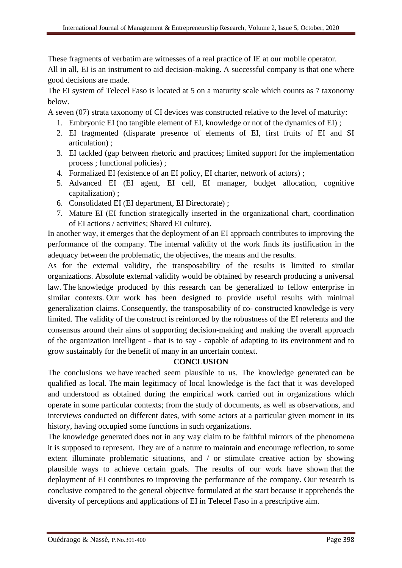These fragments of verbatim are witnesses of a real practice of IE at our mobile operator. All in all, EI is an instrument to aid decision-making. A successful company is that one where

good decisions are made.

The EI system of Telecel Faso is located at 5 on a maturity scale which counts as 7 taxonomy below.

A seven (07) strata taxonomy of CI devices was constructed relative to the level of maturity:

- 1. Embryonic EI (no tangible element of EI, knowledge or not of the dynamics of EI) ;
- 2. EI fragmented (disparate presence of elements of EI, first fruits of EI and SI articulation) ;
- 3. EI tackled (gap between rhetoric and practices; limited support for the implementation process ; functional policies) ;
- 4. Formalized EI (existence of an EI policy, EI charter, network of actors) ;
- 5. Advanced EI (EI agent, EI cell, EI manager, budget allocation, cognitive capitalization) ;
- 6. Consolidated EI (EI department, EI Directorate) ;
- 7. Mature EI (EI function strategically inserted in the organizational chart, coordination of EI actions / activities; Shared EI culture).

In another way, it emerges that the deployment of an EI approach contributes to improving the performance of the company. The internal validity of the work finds its justification in the adequacy between the problematic, the objectives, the means and the results.

As for the external validity, the transposability of the results is limited to similar organizations. Absolute external validity would be obtained by research producing a universal law. The knowledge produced by this research can be generalized to fellow enterprise in similar contexts. Our work has been designed to provide useful results with minimal generalization claims. Consequently, the transposability of co- constructed knowledge is very limited. The validity of the construct is reinforced by the robustness of the EI referents and the consensus around their aims of supporting decision-making and making the overall approach of the organization intelligent - that is to say - capable of adapting to its environment and to grow sustainably for the benefit of many in an uncertain context.

## **CONCLUSION**

The conclusions we have reached seem plausible to us. The knowledge generated can be qualified as local. The main legitimacy of local knowledge is the fact that it was developed and understood as obtained during the empirical work carried out in organizations which operate in some particular contexts; from the study of documents, as well as observations, and interviews conducted on different dates, with some actors at a particular given moment in its history, having occupied some functions in such organizations.

The knowledge generated does not in any way claim to be faithful mirrors of the phenomena it is supposed to represent. They are of a nature to maintain and encourage reflection, to some extent illuminate problematic situations, and / or stimulate creative action by showing plausible ways to achieve certain goals. The results of our work have shown that the deployment of EI contributes to improving the performance of the company. Our research is conclusive compared to the general objective formulated at the start because it apprehends the diversity of perceptions and applications of EI in Telecel Faso in a prescriptive aim.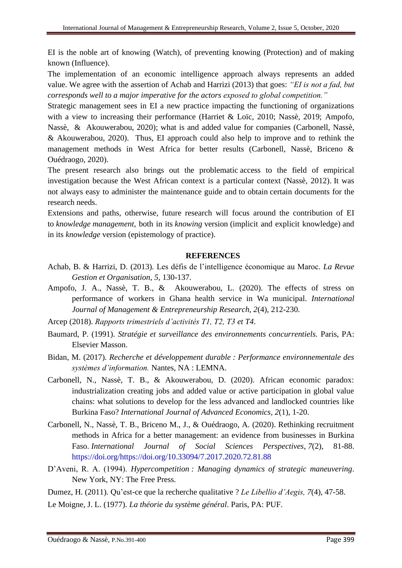EI is the noble art of knowing (Watch), of preventing knowing (Protection) and of making known (Influence).

The implementation of an economic intelligence approach always represents an added value. We agree with the assertion of Achab and Harrizi (2013) that goes: *"EI is not a fad, but corresponds well to a major imperative for the actors exposed to global competition."*

Strategic management sees in EI a new practice impacting the functioning of organizations with a view to increasing their performance (Harriet & Loïc, 2010; Nassè, 2019; Ampofo, Nassè, & Akouwerabou, 2020); what is and added value for companies (Carbonell, Nassè, & Akouwerabou, 2020). Thus, EI approach could also help to improve and to rethink the management methods in West Africa for better results (Carbonell, Nassè, Briceno & Ouédraogo, 2020).

The present research also brings out the problematic access to the field of empirical investigation because the West African context is a particular context (Nassè, 2012). It was not always easy to administer the maintenance guide and to obtain certain documents for the research needs.

Extensions and paths, otherwise, future research will focus around the contribution of EI to *knowledge management*, both in its *knowing* version (implicit and explicit knowledge) and in its *knowledge* version (epistemology of practice).

#### **REFERENCES**

- Achab, B. & Harrizi, D. (2013)*.* Les défis de l'intelligence économique au Maroc*. La Revue Gestion et Organisation*, *5*, 130-137.
- Ampofo, J. A., Nassè, T. B., & Akouwerabou, L. (2020). The effects of stress on performance of workers in Ghana health service in Wa municipal. *International Journal of Management & Entrepreneurship Research, 2*(4), 212-230.
- Arcep (2018). *Rapports trimestriels d'activités T1, T2, T3 et T4*.
- Baumard, P. (1991). *Stratégie et surveillance des environnements concurrentiels*. Paris, PA: Elsevier Masson.
- Bidan, M. (2017)*. Recherche et développement durable : Performance environnementale des systèmes d'information.* Nantes, NA : LEMNA.
- Carbonell, N., Nassè, T. B., & Akouwerabou, D. (2020). African economic paradox: industrialization creating jobs and added value or active participation in global value chains: what solutions to develop for the less advanced and landlocked countries like Burkina Faso? *International Journal of Advanced Economics, 2*(1), 1-20.
- Carbonell, N., Nassè, T. B., Briceno M., J., & Ouédraogo, A. (2020). Rethinking recruitment methods in Africa for a better management: an evidence from businesses in Burkina Faso. *International Journal of Social Sciences Perspectives*, *7*(2), 81-88. https://doi.org/https://doi.org/10.33094/7.2017.2020.72.81.88
- D'Aveni, R. A. (1994). *Hypercompetition : Managing dynamics of strategic maneuvering*. New York, NY: The Free Press.

Dumez, H. (2011). Qu'est-ce que la recherche qualitative ? *Le Libellio d'Aegis, 7*(4), 47-58.

Le Moigne, J. L. (1977). *La théorie du système général*. Paris, PA: PUF.